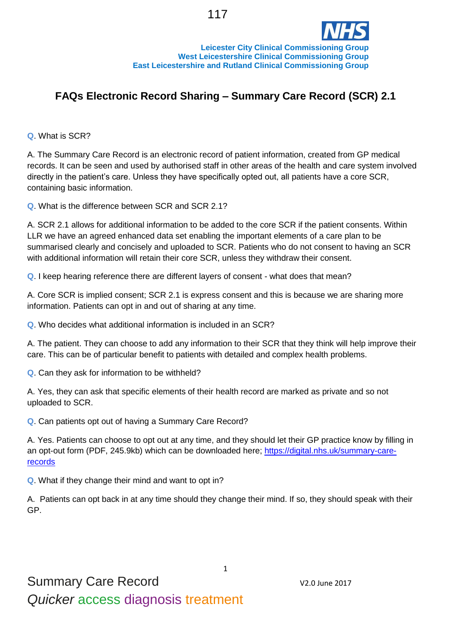

## **FAQs Electronic Record Sharing – Summary Care Record (SCR) 2.1**

**Q**. What is SCR?

A. The Summary Care Record is an electronic record of patient information, created from GP medical records. It can be seen and used by authorised staff in other areas of the health and care system involved directly in the patient's care. Unless they have specifically opted out, all patients have a core SCR, containing basic information.

**Q**. What is the difference between SCR and SCR 2.1?

A. SCR 2.1 allows for additional information to be added to the core SCR if the patient consents. Within LLR we have an agreed enhanced data set enabling the important elements of a care plan to be summarised clearly and concisely and uploaded to SCR. Patients who do not consent to having an SCR with additional information will retain their core SCR, unless they withdraw their consent.

**Q**. I keep hearing reference there are different layers of consent - what does that mean?

A. Core SCR is implied consent; SCR 2.1 is express consent and this is because we are sharing more information. Patients can opt in and out of sharing at any time.

**Q**. Who decides what additional information is included in an SCR?

A. The patient. They can choose to add any information to their SCR that they think will help improve their care. This can be of particular benefit to patients with detailed and complex health problems.

**Q**. Can they ask for information to be withheld?

A. Yes, they can ask that specific elements of their health record are marked as private and so not uploaded to SCR.

**Q**. Can patients opt out of having a Summary Care Record?

A. Yes. Patients can choose to opt out at any time, and they should let their GP practice know by filling in an [opt-out form \(PDF, 245.9kb\)](http://systems.hscic.gov.uk/scr/library/optout.pdf) which can be downloaded here; [https://digital.nhs.uk/summary-care](https://digital.nhs.uk/summary-care-records)[records](https://digital.nhs.uk/summary-care-records)

**Q**. What if they change their mind and want to opt in?

A. Patients can opt back in at any time should they change their mind. If so, they should speak with their GP.

1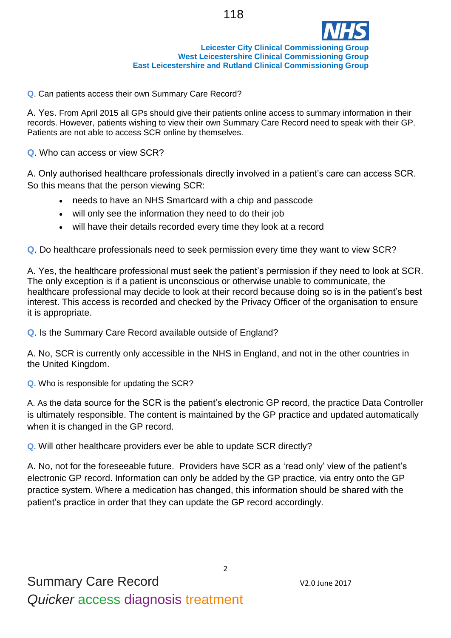

**Leicester City Clinical Commissioning Group West Leicestershire Clinical Commissioning Group East Leicestershire and Rutland Clinical Commissioning Group**

**Q**. Can patients access their own Summary Care Record?

A. Yes. From April 2015 all GPs should give their patients online access to summary information in their records. However, patients wishing to view their own Summary Care Record need to speak with their GP. Patients are not able to access SCR online by themselves.

**Q**. Who can access or view SCR?

A. Only authorised healthcare professionals directly involved in a patient's care can access SCR. So this means that the person viewing SCR:

- needs to have an NHS Smartcard with a chip and passcode
- will only see the information they need to do their job
- will have their details recorded every time they look at a record

**Q**. Do healthcare professionals need to seek permission every time they want to view SCR?

A. Yes, the healthcare professional must seek the patient's permission if they need to look at SCR. The only exception is if a patient is unconscious or otherwise unable to communicate, the healthcare professional may decide to look at their record because doing so is in the patient's best interest. This access is recorded and checked by the Privacy Officer of the organisation to ensure it is appropriate.

**Q**. Is the Summary Care Record available outside of England?

A. No, SCR is currently only accessible in the NHS in England, and not in the other countries in the United Kingdom.

**Q**. Who is responsible for updating the SCR?

A. As the data source for the SCR is the patient's electronic GP record, the practice Data Controller is ultimately responsible. The content is maintained by the GP practice and updated automatically when it is changed in the GP record.

**Q**. Will other healthcare providers ever be able to update SCR directly?

A. No, not for the foreseeable future. Providers have SCR as a 'read only' view of the patient's electronic GP record. Information can only be added by the GP practice, via entry onto the GP practice system. Where a medication has changed, this information should be shared with the patient's practice in order that they can update the GP record accordingly.

2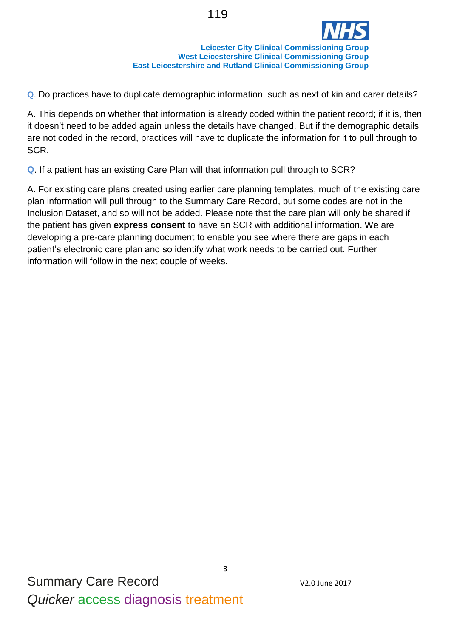

**Q**. Do practices have to duplicate demographic information, such as next of kin and carer details?

A. This depends on whether that information is already coded within the patient record; if it is, then it doesn't need to be added again unless the details have changed. But if the demographic details are not coded in the record, practices will have to duplicate the information for it to pull through to SCR.

**Q**. If a patient has an existing Care Plan will that information pull through to SCR?

A. For existing care plans created using earlier care planning templates, much of the existing care plan information will pull through to the Summary Care Record, but some codes are not in the Inclusion Dataset, and so will not be added. Please note that the care plan will only be shared if the patient has given **express consent** to have an SCR with additional information. We are developing a pre-care planning document to enable you see where there are gaps in each patient's electronic care plan and so identify what work needs to be carried out. Further information will follow in the next couple of weeks.

3